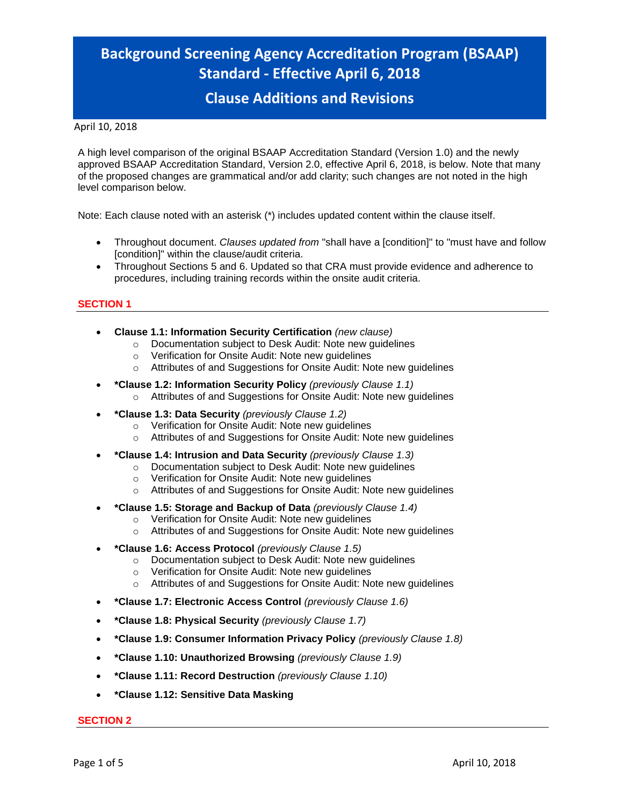# **Background Screening Agency Accreditation Program (BSAAP) Standard - Effective April 6, 2018**

# **Clause Additions and Revisions**

#### April 10, 2018

A high level comparison of the original BSAAP Accreditation Standard (Version 1.0) and the newly approved BSAAP Accreditation Standard, Version 2.0, effective April 6, 2018, is below. Note that many of the proposed changes are grammatical and/or add clarity; such changes are not noted in the high level comparison below.

Note: Each clause noted with an asterisk (\*) includes updated content within the clause itself.

- Throughout document. *Clauses updated from* "shall have a [condition]" to "must have and follow a [condition]" within the clause/audit criteria.
- Throughout Sections 5 and 6. Updated so that CRA must provide evidence and adherence to procedures, including training records within the onsite audit criteria.

#### **SECTION 1**

- **Clause 1.1: Information Security Certification** *(new clause)*
	- o Documentation subject to Desk Audit: Note new guidelines
	- o Verification for Onsite Audit: Note new guidelines
	- o Attributes of and Suggestions for Onsite Audit: Note new guidelines
- **\*Clause 1.2: Information Security Policy** *(previously Clause 1.1)* o Attributes of and Suggestions for Onsite Audit: Note new guidelines
- **\*Clause 1.3: Data Security** *(previously Clause 1.2)*
	- o Verification for Onsite Audit: Note new guidelines
	- o Attributes of and Suggestions for Onsite Audit: Note new guidelines
- **\*Clause 1.4: Intrusion and Data Security** *(previously Clause 1.3)*
	- o Documentation subject to Desk Audit: Note new guidelines
	- o Verification for Onsite Audit: Note new guidelines
	- o Attributes of and Suggestions for Onsite Audit: Note new guidelines
- **\*Clause 1.5: Storage and Backup of Data** *(previously Clause 1.4)*
	- o Verification for Onsite Audit: Note new guidelines
	- o Attributes of and Suggestions for Onsite Audit: Note new guidelines
- **\*Clause 1.6: Access Protocol** *(previously Clause 1.5)*
	- o Documentation subject to Desk Audit: Note new guidelines
	- o Verification for Onsite Audit: Note new guidelines
	- o Attributes of and Suggestions for Onsite Audit: Note new guidelines
- **\*Clause 1.7: Electronic Access Control** *(previously Clause 1.6)*
- **\*Clause 1.8: Physical Security** *(previously Clause 1.7)*
- **\*Clause 1.9: Consumer Information Privacy Policy** *(previously Clause 1.8)*
- **\*Clause 1.10: Unauthorized Browsing** *(previously Clause 1.9)*
- **\*Clause 1.11: Record Destruction** *(previously Clause 1.10)*
- **\*Clause 1.12: Sensitive Data Masking**

#### **SECTION 2**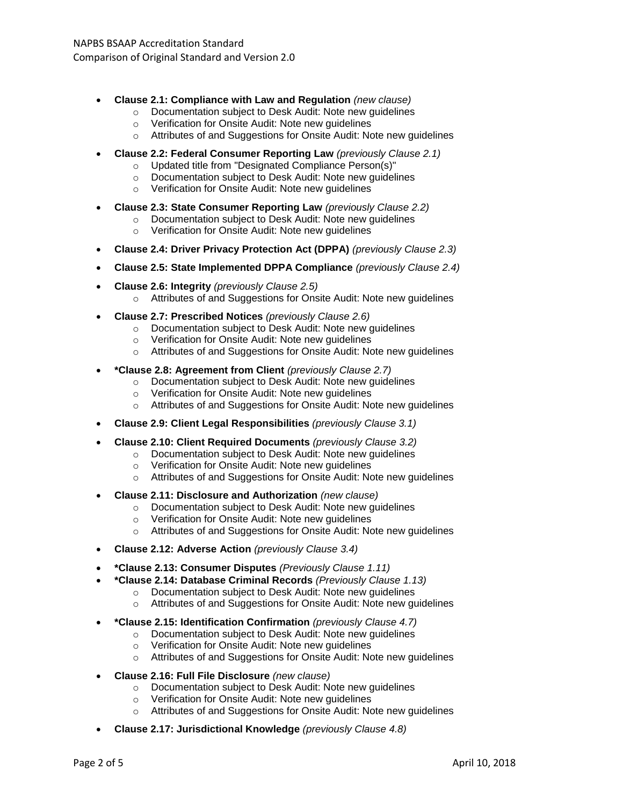- **Clause 2.1: Compliance with Law and Regulation** *(new clause)*
	- o Documentation subject to Desk Audit: Note new guidelines
	- o Verification for Onsite Audit: Note new guidelines
	- o Attributes of and Suggestions for Onsite Audit: Note new guidelines
- **Clause 2.2: Federal Consumer Reporting Law** *(previously Clause 2.1)*
	- o Updated title from "Designated Compliance Person(s)"
	- o Documentation subject to Desk Audit: Note new guidelines
	- o Verification for Onsite Audit: Note new guidelines
- **Clause 2.3: State Consumer Reporting Law** *(previously Clause 2.2)*
	- o Documentation subject to Desk Audit: Note new guidelines
	- o Verification for Onsite Audit: Note new guidelines
- **Clause 2.4: Driver Privacy Protection Act (DPPA)** *(previously Clause 2.3)*
- **Clause 2.5: State Implemented DPPA Compliance** *(previously Clause 2.4)*
- **Clause 2.6: Integrity** *(previously Clause 2.5)* o Attributes of and Suggestions for Onsite Audit: Note new guidelines
- **Clause 2.7: Prescribed Notices** *(previously Clause 2.6)*
	- o Documentation subject to Desk Audit: Note new guidelines
	- o Verification for Onsite Audit: Note new guidelines
	- o Attributes of and Suggestions for Onsite Audit: Note new guidelines
- **\*Clause 2.8: Agreement from Client** *(previously Clause 2.7)*
	- o Documentation subject to Desk Audit: Note new guidelines
	- o Verification for Onsite Audit: Note new guidelines
	- o Attributes of and Suggestions for Onsite Audit: Note new guidelines
- **Clause 2.9: Client Legal Responsibilities** *(previously Clause 3.1)*
- **Clause 2.10: Client Required Documents** *(previously Clause 3.2)*
	- o Documentation subject to Desk Audit: Note new guidelines
	- o Verification for Onsite Audit: Note new guidelines
	- o Attributes of and Suggestions for Onsite Audit: Note new guidelines
- **Clause 2.11: Disclosure and Authorization** *(new clause)*
	- o Documentation subject to Desk Audit: Note new guidelines
	- o Verification for Onsite Audit: Note new guidelines
	- o Attributes of and Suggestions for Onsite Audit: Note new guidelines
- **Clause 2.12: Adverse Action** *(previously Clause 3.4)*
- **\*Clause 2.13: Consumer Disputes** *(Previously Clause 1.11)*
- **\*Clause 2.14: Database Criminal Records** *(Previously Clause 1.13)*
	- o Documentation subject to Desk Audit: Note new guidelines
		- o Attributes of and Suggestions for Onsite Audit: Note new guidelines
- **\*Clause 2.15: Identification Confirmation** *(previously Clause 4.7)*
	- o Documentation subject to Desk Audit: Note new guidelines
	- o Verification for Onsite Audit: Note new guidelines
	- o Attributes of and Suggestions for Onsite Audit: Note new guidelines
- **Clause 2.16: Full File Disclosure** *(new clause)*
	- o Documentation subject to Desk Audit: Note new guidelines
	- o Verification for Onsite Audit: Note new guidelines
	- o Attributes of and Suggestions for Onsite Audit: Note new guidelines
- **Clause 2.17: Jurisdictional Knowledge** *(previously Clause 4.8)*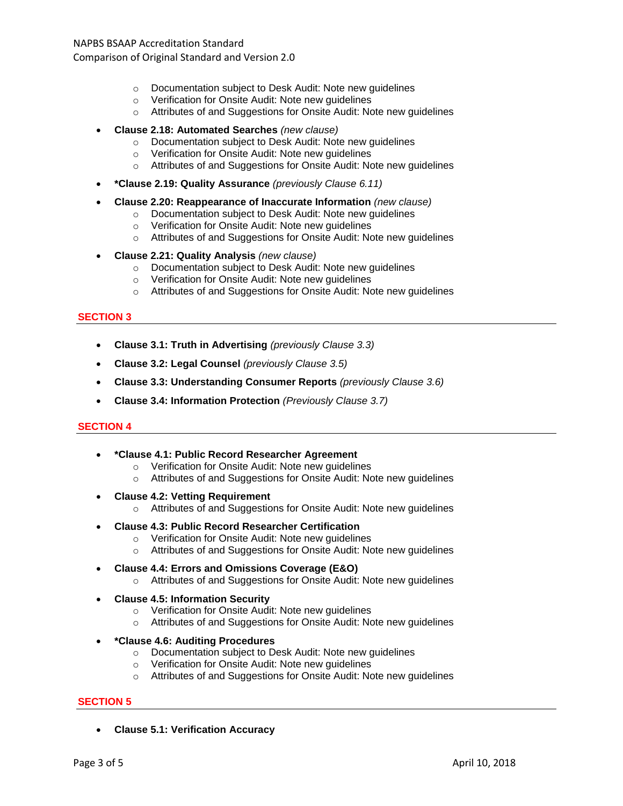## NAPBS BSAAP Accreditation Standard

Comparison of Original Standard and Version 2.0

- o Documentation subject to Desk Audit: Note new guidelines
- o Verification for Onsite Audit: Note new guidelines
- o Attributes of and Suggestions for Onsite Audit: Note new guidelines

#### • **Clause 2.18: Automated Searches** *(new clause)*

- o Documentation subject to Desk Audit: Note new guidelines
- o Verification for Onsite Audit: Note new guidelines
- o Attributes of and Suggestions for Onsite Audit: Note new guidelines
- **\*Clause 2.19: Quality Assurance** *(previously Clause 6.11)*
- **Clause 2.20: Reappearance of Inaccurate Information** *(new clause)*
	- o Documentation subject to Desk Audit: Note new guidelines
	- o Verification for Onsite Audit: Note new guidelines
	- o Attributes of and Suggestions for Onsite Audit: Note new guidelines
- **Clause 2.21: Quality Analysis** *(new clause)*
	- o Documentation subject to Desk Audit: Note new guidelines
	- o Verification for Onsite Audit: Note new guidelines
	- o Attributes of and Suggestions for Onsite Audit: Note new guidelines

#### **SECTION 3**

- **Clause 3.1: Truth in Advertising** *(previously Clause 3.3)*
- **Clause 3.2: Legal Counsel** *(previously Clause 3.5)*
- **Clause 3.3: Understanding Consumer Reports** *(previously Clause 3.6)*
- **Clause 3.4: Information Protection** *(Previously Clause 3.7)*

#### **SECTION 4**

- **\*Clause 4.1: Public Record Researcher Agreement**
	- o Verification for Onsite Audit: Note new guidelines
	- o Attributes of and Suggestions for Onsite Audit: Note new guidelines
- **Clause 4.2: Vetting Requirement**
	- o Attributes of and Suggestions for Onsite Audit: Note new guidelines
- **Clause 4.3: Public Record Researcher Certification**
	- o Verification for Onsite Audit: Note new guidelines
	- o Attributes of and Suggestions for Onsite Audit: Note new guidelines
	- **Clause 4.4: Errors and Omissions Coverage (E&O)**
		- o Attributes of and Suggestions for Onsite Audit: Note new guidelines
- **Clause 4.5: Information Security**
	- o Verification for Onsite Audit: Note new guidelines
	- o Attributes of and Suggestions for Onsite Audit: Note new guidelines
- **\*Clause 4.6: Auditing Procedures**
	- o Documentation subject to Desk Audit: Note new guidelines
	- o Verification for Onsite Audit: Note new guidelines
	- o Attributes of and Suggestions for Onsite Audit: Note new guidelines

#### **SECTION 5**

• **Clause 5.1: Verification Accuracy**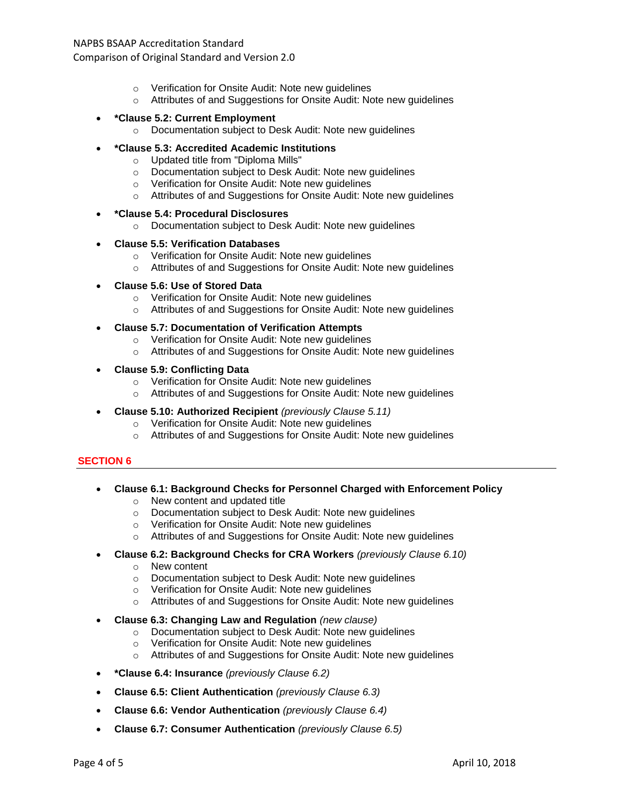## NAPBS BSAAP Accreditation Standard

Comparison of Original Standard and Version 2.0

- o Verification for Onsite Audit: Note new guidelines
- o Attributes of and Suggestions for Onsite Audit: Note new guidelines
- **\*Clause 5.2: Current Employment**
	- o Documentation subject to Desk Audit: Note new guidelines
- **\*Clause 5.3: Accredited Academic Institutions**
	- o Updated title from "Diploma Mills"
	- o Documentation subject to Desk Audit: Note new guidelines
	- o Verification for Onsite Audit: Note new guidelines
	- o Attributes of and Suggestions for Onsite Audit: Note new guidelines
- **\*Clause 5.4: Procedural Disclosures**
	- o Documentation subject to Desk Audit: Note new guidelines

#### • **Clause 5.5: Verification Databases**

- o Verification for Onsite Audit: Note new guidelines
- o Attributes of and Suggestions for Onsite Audit: Note new guidelines
- **Clause 5.6: Use of Stored Data**
	- o Verification for Onsite Audit: Note new guidelines
	- o Attributes of and Suggestions for Onsite Audit: Note new guidelines
- **Clause 5.7: Documentation of Verification Attempts**
	- o Verification for Onsite Audit: Note new guidelines
	- o Attributes of and Suggestions for Onsite Audit: Note new guidelines
- **Clause 5.9: Conflicting Data**
	- o Verification for Onsite Audit: Note new guidelines
	- o Attributes of and Suggestions for Onsite Audit: Note new guidelines
- **Clause 5.10: Authorized Recipient** *(previously Clause 5.11)*
	- o Verification for Onsite Audit: Note new guidelines
	- o Attributes of and Suggestions for Onsite Audit: Note new guidelines

#### **SECTION 6**

- **Clause 6.1: Background Checks for Personnel Charged with Enforcement Policy** o New content and updated title
	- o Documentation subject to Desk Audit: Note new guidelines
	- o Verification for Onsite Audit: Note new guidelines
	- o Attributes of and Suggestions for Onsite Audit: Note new guidelines
- **Clause 6.2: Background Checks for CRA Workers** *(previously Clause 6.10)*
	- o New content
	- o Documentation subject to Desk Audit: Note new guidelines
	- o Verification for Onsite Audit: Note new guidelines
	- $\circ$  Attributes of and Suggestions for Onsite Audit: Note new guidelines
- **Clause 6.3: Changing Law and Regulation** *(new clause)*
	- o Documentation subject to Desk Audit: Note new guidelines
	- o Verification for Onsite Audit: Note new guidelines
	- o Attributes of and Suggestions for Onsite Audit: Note new guidelines
- **\*Clause 6.4: Insurance** *(previously Clause 6.2)*
- **Clause 6.5: Client Authentication** *(previously Clause 6.3)*
- **Clause 6.6: Vendor Authentication** *(previously Clause 6.4)*
- **Clause 6.7: Consumer Authentication** *(previously Clause 6.5)*